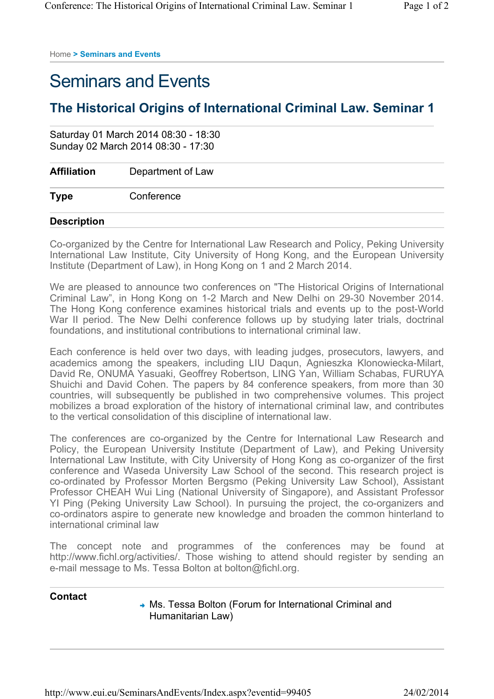Home **> Seminars and Events** 

## Seminars and Events

## **The Historical Origins of International Criminal Law. Seminar 1**

|                    | Saturday 01 March 2014 08:30 - 18:30<br>Sunday 02 March 2014 08:30 - 17:30 |  |  |
|--------------------|----------------------------------------------------------------------------|--|--|
| <b>Affiliation</b> | Department of Law                                                          |  |  |
| <b>Type</b>        | Conference                                                                 |  |  |
| <b>Description</b> |                                                                            |  |  |

Co-organized by the Centre for International Law Research and Policy, Peking University International Law Institute, City University of Hong Kong, and the European University Institute (Department of Law), in Hong Kong on 1 and 2 March 2014.

We are pleased to announce two conferences on "The Historical Origins of International Criminal Law", in Hong Kong on 1-2 March and New Delhi on 29-30 November 2014. The Hong Kong conference examines historical trials and events up to the post-World War II period. The New Delhi conference follows up by studying later trials, doctrinal foundations, and institutional contributions to international criminal law.

Each conference is held over two days, with leading judges, prosecutors, lawyers, and academics among the speakers, including LIU Daqun, Agnieszka Klonowiecka-Milart, David Re, ONUMA Yasuaki, Geoffrey Robertson, LING Yan, William Schabas, FURUYA Shuichi and David Cohen. The papers by 84 conference speakers, from more than 30 countries, will subsequently be published in two comprehensive volumes. This project mobilizes a broad exploration of the history of international criminal law, and contributes to the vertical consolidation of this discipline of international law.

The conferences are co-organized by the Centre for International Law Research and Policy, the European University Institute (Department of Law), and Peking University International Law Institute, with City University of Hong Kong as co-organizer of the first conference and Waseda University Law School of the second. This research project is co-ordinated by Professor Morten Bergsmo (Peking University Law School), Assistant Professor CHEAH Wui Ling (National University of Singapore), and Assistant Professor YI Ping (Peking University Law School). In pursuing the project, the co-organizers and co-ordinators aspire to generate new knowledge and broaden the common hinterland to international criminal law

The concept note and programmes of the conferences may be found at http://www.fichl.org/activities/. Those wishing to attend should register by sending an e-mail message to Ms. Tessa Bolton at bolton@fichl.org.

## **Contact**

◆ Ms. Tessa Bolton (Forum for International Criminal and Humanitarian Law)